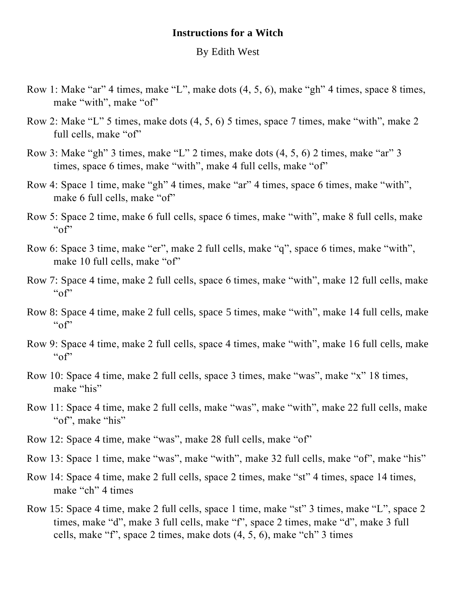## **Instructions for a Witch**

## By Edith West

- Row 1: Make "ar" 4 times, make "L", make dots (4, 5, 6), make "gh" 4 times, space 8 times, make "with", make "of"
- Row 2: Make "L" 5 times, make dots (4, 5, 6) 5 times, space 7 times, make "with", make 2 full cells, make "of"
- Row 3: Make "gh" 3 times, make "L" 2 times, make dots (4, 5, 6) 2 times, make "ar" 3 times, space 6 times, make "with", make 4 full cells, make "of"
- Row 4: Space 1 time, make "gh" 4 times, make "ar" 4 times, space 6 times, make "with", make 6 full cells, make "of"
- Row 5: Space 2 time, make 6 full cells, space 6 times, make "with", make 8 full cells, make  $``of"$
- Row 6: Space 3 time, make "er", make 2 full cells, make "q", space 6 times, make "with", make 10 full cells, make "of"
- Row 7: Space 4 time, make 2 full cells, space 6 times, make "with", make 12 full cells, make  $``of"$
- Row 8: Space 4 time, make 2 full cells, space 5 times, make "with", make 14 full cells, make  $``of"$
- Row 9: Space 4 time, make 2 full cells, space 4 times, make "with", make 16 full cells, make  $``of"$
- Row 10: Space 4 time, make 2 full cells, space 3 times, make "was", make "x" 18 times, make "his"
- Row 11: Space 4 time, make 2 full cells, make "was", make "with", make 22 full cells, make "of", make "his"
- Row 12: Space 4 time, make "was", make 28 full cells, make "of"
- Row 13: Space 1 time, make "was", make "with", make 32 full cells, make "of", make "his"
- Row 14: Space 4 time, make 2 full cells, space 2 times, make "st" 4 times, space 14 times, make "ch" 4 times
- Row 15: Space 4 time, make 2 full cells, space 1 time, make "st" 3 times, make "L", space 2 times, make "d", make 3 full cells, make "f", space 2 times, make "d", make 3 full cells, make "f", space 2 times, make dots (4, 5, 6), make "ch" 3 times